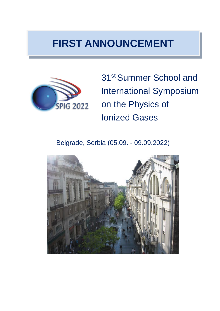# **FIRST ANNOUNCEMENT**



31st Summer School and International Symposium on the Physics of Ionized Gases

Belgrade, Serbia (05.09. - 09.09.2022)

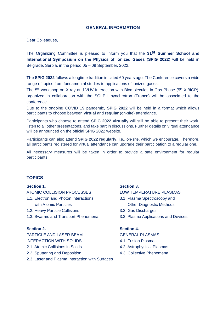# **GENERAL INFORMATION**

Dear Colleagues,

The Organizing Committee is pleased to inform you that the **31st Summer School and International Symposium on the Physics of Ionized Gases** (**SPIG 2022**) will be held in Belgrade, Serbia, in the period 05 – 09 September, 2022.

**The SPIG 2022** follows a longtime tradition initiated 60 years ago. The Conference covers a wide range of topics from fundamental studies to applications of ionized gases.

The  $5<sup>th</sup>$  workshop on X-ray and VUV Interaction with Biomolecules in Gas Phase ( $5<sup>th</sup>$  XiBiGP), organized in collaboration with the SOLEIL synchrotron (France) will be associated to the conference.

Due to the ongoing COVID 19 pandemic, **SPIG 2022** will be held in a format which allows participants to choose between **virtual** and **regular** (on-site) attendance.

Participants who choose to attend **SPIG 2022 virtually** will still be able to present their work, listen to all other presentations, and take part in discussions. Further details on virtual attendance will be announced on the official SPIG 2022 website.

Participants can also attend **SPIG 2022 regularly**, i.e., on-site, which we encourage. Therefore, all participants registered for virtual attendance can upgrade their participation to a regular one.

All necessary measures will be taken in order to provide a safe environment for regular participants.

# **TOPICS**

### **Section 1. Section 3.**

ATOMIC COLLISION PROCESSES LOW TEMPERATURE PLASMAS

- 1.1. Electron and Photon Interactions 3.1. Plasma Spectroscopy and with Atomic Particles **Container Containers** Other Diagnostic Methods
- 1.2. Heavy Particle Collisions 3.2. Gas Discharges
- 1.3. Swarms and Transport Phenomena 3.3. Plasma Applications and Devices

PARTICLE AND LASER BEAM GENERAL PLASMAS INTERACTION WITH SOLIDS 4.1. Fusion Plasmas 2.1. Atomic Collisions in Solids 4.2. Astrophysical Plasmas

- 2.2. Sputtering and Deposition 4.3. Collective Phenomena
- 2.3. Laser and Plasma Interaction with Surfaces

- 
- 
- 

### **Section 2. Section 4.**

- 
- 
-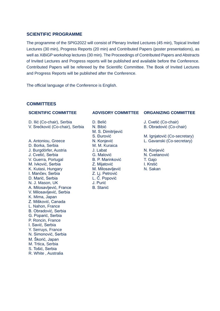### **SCIENTIFIC PROGRAMME**

The programme of the SPIG2022 will consist of Plenary Invited Lectures (45 min), Topical Invited Lectures (30 min), Progress Reports (20 min) and Contributed Papers (poster presentations), as well as XiBiGP workshop lectures (30 min). The Proceedings of Contributed Papers and Abstracts of Invited Lectures and Progress reports will be published and available before the Conference. Contributed Papers will be refereed by the Scientific Committee. The Book of Invited Lectures and Progress Reports will be published after the Conference.

The official language of the Conference is English.

### **COMMITTEES**

D. Ilić (Co-chair), Serbia D. Belić D. D. Cvetić (Co-chair) V. Srećković (Co-chair), Serbia N. Bibić B. Obradović (Co-chair)

A. Antoniou, Greece N. Konjević L. Gavanski (Co-secretary) D. Borka, Serbia J. Burgdörfer, Austria J. Labat N. Konjević J. Cvetić, Serbia G. Malović G. Malović N. Cvetanović V. Guerra, Portugal B. P. Marinković T. Gajo M. Ivković, Serbia Z. Mijatović I. Krstić K. Kutasi, Hungary **M. Milosavljević** N. Sakan I. Mančev, Serbia<br>
D. Marić, Serbia<br>
L. Č. Popović D. Marić, Serbia L. Č. Popović N. J. Mason, UK A. Milosavliević, France B. Stanić V. Milosavljević, Serbia K. Mima, Japan Z. Mišković, Canada L. Nahon, France B. Obradović, Serbia G. Poparić, Serbia P. Roncin, France I. Savić, Serbia Y. Serruys, France N. Simonović, Serbia M. Škorić, Japan M. Trtica, Serbia S. Tošić, Serbia

R. White , Australia

M. S. Dimitrijević

### **SCIENTIFIC COMMITTEE ADVISORY COMMITTEE ORGANIZING COMMITTEE**

S. Đurović M. Ignjatović (Co-secretary)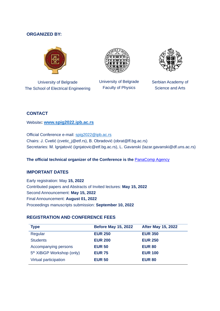# **ORGANIZED BY:**



University of Belgrade The School of Electrical Engineering



University of Belgrade Faculty of Physics



Serbian Academy of Science and Arts

# **CONTACT**

Website**: [www.spig2022.ipb.ac.rs](http://www.spig2022.ipb.ac.rs/)**

Official Conference e-mail: [spig2022@ipb.ac.rs](mailto:spig2022@ipb.ac.rs)  Chairs: J. Cvetić (cvetic\_j@etf.rs), B. Obradović (obrat@ff.bg.ac.rs) Secretaries: M. Ignjatović (ignjatovic@etf.bg.ac.rs), L. Gavanski (lazar.gavanski@df.uns.ac.rs)

The official technical organizer of the Conference is the **[PanaComp Agency](http://www.panacomp.net/)** 

# **IMPORTANT DATES**

Early registration: May **15, 2022** Contributed papers and Abstracts of Invited lectures: **May 15, 2022** Second Announcement: **May 15, 2022** Final Announcement: **August 01, 2022** Proceedings manuscripts submission: **September 10, 2022**

# **REGISTRATION AND CONFERENCE FEES**

| <b>Type</b>                            | <b>Before May 15, 2022</b> | <b>After May 15, 2022</b> |
|----------------------------------------|----------------------------|---------------------------|
| Regular                                | <b>EUR 250</b>             | <b>EUR 350</b>            |
| <b>Students</b>                        | <b>EUR 200</b>             | <b>EUR 250</b>            |
| Accompanying persons                   | <b>EUR 50</b>              | <b>EUR 80</b>             |
| 5 <sup>th</sup> XiBiGP Workshop (only) | <b>EUR 75</b>              | <b>EUR 100</b>            |
| Virtual participation                  | <b>EUR 50</b>              | <b>EUR 80</b>             |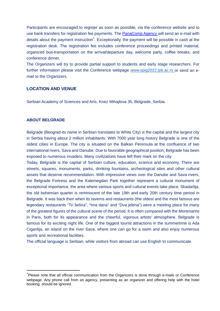Participants are encouraged to register as soon as possible, via the conference website and to use bank transfers for registration fee payments. The [PanaComp Agency](http://www.panacomp.net/) will send an e-mail with details about the payment instruction<sup>[\\*](#page-4-0)</sup>. Exceptionally, the payment will be possible in cash at the registration desk. The registration fee includes conference proceedings and printed material, organized bus-transportation on the arrival/departure day, welcome party, coffee breaks, and conference dinner.

The Organizers will try to provide partial support to students and early stage researchers. For further information please visit the Conference webpage [www.spig2022.ipb.ac.rs](http://www.spig2022.ipb.ac.rs/) or send an email to the Organizers.

# **LOCATION AND VENUE**

Serbian Academy of Sciences and Arts, Knez Mihajlova 35, Belgrade, Serbia.

### **ABOUT BELGRADE**

Belgrade (Beograd-its name in Serbian translates to White City) is the capital and the largest city in Serbia having about 2 million inhabitants. With 7000 year long history Belgrade is one of the oldest cities in Europe. The city is situated on the Balkan Peninsula at the confluence of two international rivers, Sava and Danube. Due to favorable geographical position, Belgrade has been exposed to numerous invaders. Many civilizations have left their mark on the city.

Today, Belgrade is the capital of Serbian culture, education, science and economy. There are streets, squares, monuments, parks, drinking fountains, archeological sites and other cultural assets that deserve recommendation. With impressive views over the Danube and Sava rivers, the Belgrade Fortress and the Kalemegdan Park together represent a cultural monument of exceptional importance, the area where various sports and cultural events take place. Skadarlija, the old bohemian quarter is reminiscent of the late 19th and early 20th century time period in Belgrade. It was back then when its taverns and restaurants (the oldest and the most famous are legendary restaurants "Tri šešira", "Ima dana" and "Dva jelena") were a meeting place for many of the greatest figures of the cultural scene of the period. It is often compared with the Montmartre in Paris, both for its appearance and the cheerful, vigorous artists' atmosphere. Belgrade is famous for its exciting night life. One of the biggest tourist attractions in the summertime is Ada Ciganlija, an island on the river Sava, where one can go for a swim and also enjoy numerous sports and recreational facilities.

The official language is Serbian, while visitors from abroad can use English to communicate.

<span id="page-4-0"></span><sup>\*</sup> Please note that all official communication from the Organizers is done through e-mails or Conference webpage. Any phone call from an agency, presenting as an organizer and offering help with the hotel booking, should be ignored.